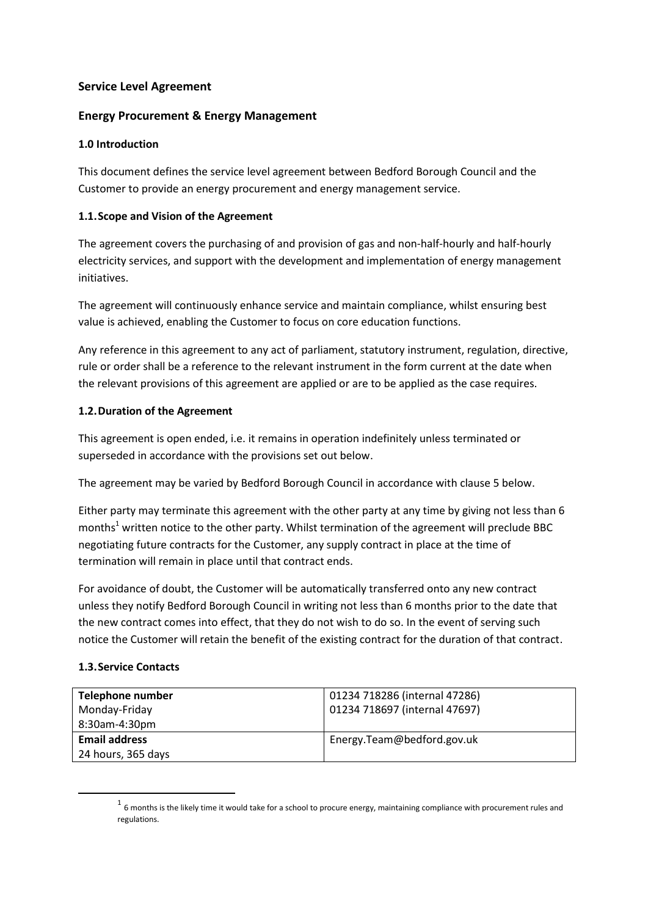## **Service Level Agreement**

## **Energy Procurement & Energy Management**

### **1.0 Introduction**

This document defines the service level agreement between Bedford Borough Council and the Customer to provide an energy procurement and energy management service.

## **1.1.Scope and Vision of the Agreement**

The agreement covers the purchasing of and provision of gas and non-half-hourly and half-hourly electricity services, and support with the development and implementation of energy management initiatives.

The agreement will continuously enhance service and maintain compliance, whilst ensuring best value is achieved, enabling the Customer to focus on core education functions.

Any reference in this agreement to any act of parliament, statutory instrument, regulation, directive, rule or order shall be a reference to the relevant instrument in the form current at the date when the relevant provisions of this agreement are applied or are to be applied as the case requires.

## **1.2.Duration of the Agreement**

This agreement is open ended, i.e. it remains in operation indefinitely unless terminated or superseded in accordance with the provisions set out below.

The agreement may be varied by Bedford Borough Council in accordance with clause 5 below.

Either party may terminate this agreement with the other party at any time by giving not less than 6 months<sup>1</sup> written notice to the other party. Whilst termination of the agreement will preclude BBC negotiating future contracts for the Customer, any supply contract in place at the time of termination will remain in place until that contract ends.

For avoidance of doubt, the Customer will be automatically transferred onto any new contract unless they notify Bedford Borough Council in writing not less than 6 months prior to the date that the new contract comes into effect, that they do not wish to do so. In the event of serving such notice the Customer will retain the benefit of the existing contract for the duration of that contract.

### **1.3.Service Contacts**

**.** 

| Telephone number     | 01234 718286 (internal 47286) |
|----------------------|-------------------------------|
| Monday-Friday        | 01234 718697 (internal 47697) |
| 8:30am-4:30pm        |                               |
| <b>Email address</b> | Energy.Team@bedford.gov.uk    |
| 24 hours, 365 days   |                               |

 $<sup>1</sup>$  6 months is the likely time it would take for a school to procure energy, maintaining compliance with procurement rules and</sup> regulations.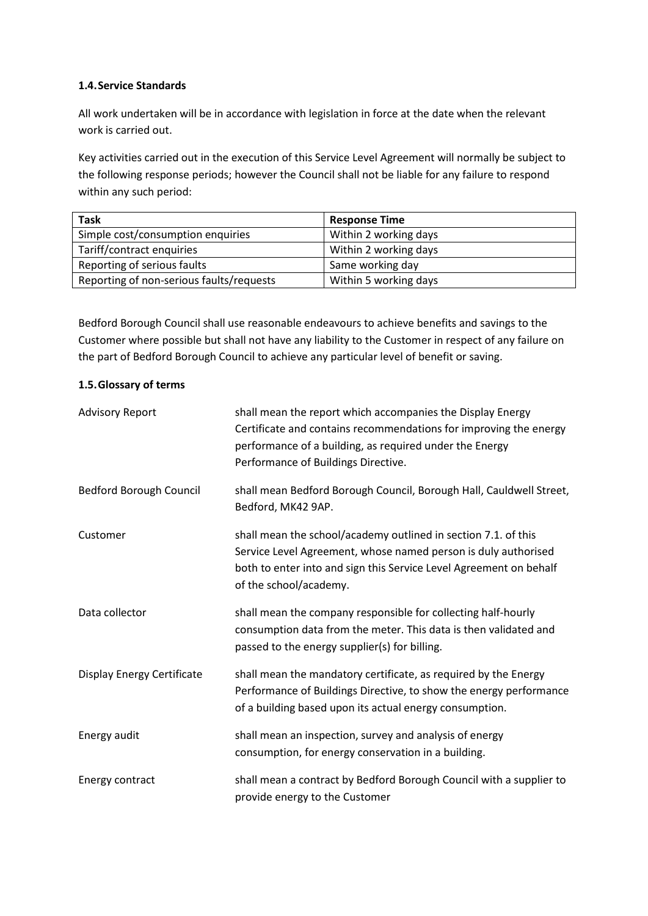#### **1.4.Service Standards**

All work undertaken will be in accordance with legislation in force at the date when the relevant work is carried out.

Key activities carried out in the execution of this Service Level Agreement will normally be subject to the following response periods; however the Council shall not be liable for any failure to respond within any such period:

| <b>Task</b>                              | <b>Response Time</b>  |
|------------------------------------------|-----------------------|
| Simple cost/consumption enquiries        | Within 2 working days |
| Tariff/contract enquiries                | Within 2 working days |
| Reporting of serious faults              | Same working day      |
| Reporting of non-serious faults/requests | Within 5 working days |

Bedford Borough Council shall use reasonable endeavours to achieve benefits and savings to the Customer where possible but shall not have any liability to the Customer in respect of any failure on the part of Bedford Borough Council to achieve any particular level of benefit or saving.

#### **1.5.Glossary of terms**

| <b>Advisory Report</b>     | shall mean the report which accompanies the Display Energy<br>Certificate and contains recommendations for improving the energy<br>performance of a building, as required under the Energy<br>Performance of Buildings Directive. |
|----------------------------|-----------------------------------------------------------------------------------------------------------------------------------------------------------------------------------------------------------------------------------|
| Bedford Borough Council    | shall mean Bedford Borough Council, Borough Hall, Cauldwell Street,<br>Bedford, MK42 9AP.                                                                                                                                         |
| Customer                   | shall mean the school/academy outlined in section 7.1. of this<br>Service Level Agreement, whose named person is duly authorised<br>both to enter into and sign this Service Level Agreement on behalf<br>of the school/academy.  |
| Data collector             | shall mean the company responsible for collecting half-hourly<br>consumption data from the meter. This data is then validated and<br>passed to the energy supplier(s) for billing.                                                |
| Display Energy Certificate | shall mean the mandatory certificate, as required by the Energy<br>Performance of Buildings Directive, to show the energy performance<br>of a building based upon its actual energy consumption.                                  |
| Energy audit               | shall mean an inspection, survey and analysis of energy<br>consumption, for energy conservation in a building.                                                                                                                    |
| Energy contract            | shall mean a contract by Bedford Borough Council with a supplier to<br>provide energy to the Customer                                                                                                                             |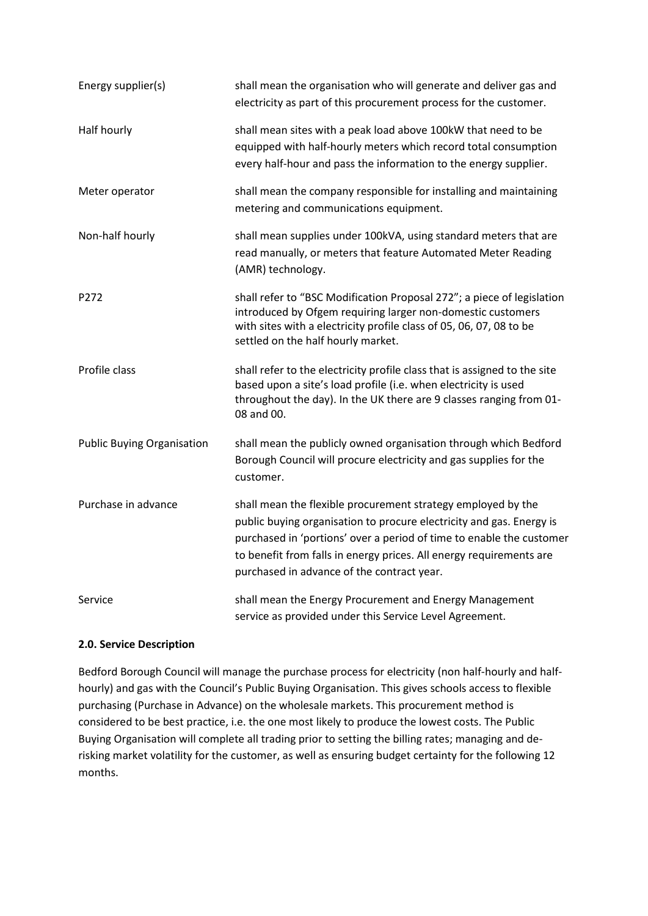| Energy supplier(s)                | shall mean the organisation who will generate and deliver gas and<br>electricity as part of this procurement process for the customer.                                                                                                                                                                                            |
|-----------------------------------|-----------------------------------------------------------------------------------------------------------------------------------------------------------------------------------------------------------------------------------------------------------------------------------------------------------------------------------|
| Half hourly                       | shall mean sites with a peak load above 100kW that need to be<br>equipped with half-hourly meters which record total consumption<br>every half-hour and pass the information to the energy supplier.                                                                                                                              |
| Meter operator                    | shall mean the company responsible for installing and maintaining<br>metering and communications equipment.                                                                                                                                                                                                                       |
| Non-half hourly                   | shall mean supplies under 100kVA, using standard meters that are<br>read manually, or meters that feature Automated Meter Reading<br>(AMR) technology.                                                                                                                                                                            |
| P272                              | shall refer to "BSC Modification Proposal 272"; a piece of legislation<br>introduced by Ofgem requiring larger non-domestic customers<br>with sites with a electricity profile class of 05, 06, 07, 08 to be<br>settled on the half hourly market.                                                                                |
| Profile class                     | shall refer to the electricity profile class that is assigned to the site<br>based upon a site's load profile (i.e. when electricity is used<br>throughout the day). In the UK there are 9 classes ranging from 01-<br>08 and 00.                                                                                                 |
| <b>Public Buying Organisation</b> | shall mean the publicly owned organisation through which Bedford<br>Borough Council will procure electricity and gas supplies for the<br>customer.                                                                                                                                                                                |
| Purchase in advance               | shall mean the flexible procurement strategy employed by the<br>public buying organisation to procure electricity and gas. Energy is<br>purchased in 'portions' over a period of time to enable the customer<br>to benefit from falls in energy prices. All energy requirements are<br>purchased in advance of the contract year. |
| Service                           | shall mean the Energy Procurement and Energy Management<br>service as provided under this Service Level Agreement.                                                                                                                                                                                                                |

# **2.0. Service Description**

Bedford Borough Council will manage the purchase process for electricity (non half-hourly and halfhourly) and gas with the Council's Public Buying Organisation. This gives schools access to flexible purchasing (Purchase in Advance) on the wholesale markets. This procurement method is considered to be best practice, i.e. the one most likely to produce the lowest costs. The Public Buying Organisation will complete all trading prior to setting the billing rates; managing and derisking market volatility for the customer, as well as ensuring budget certainty for the following 12 months.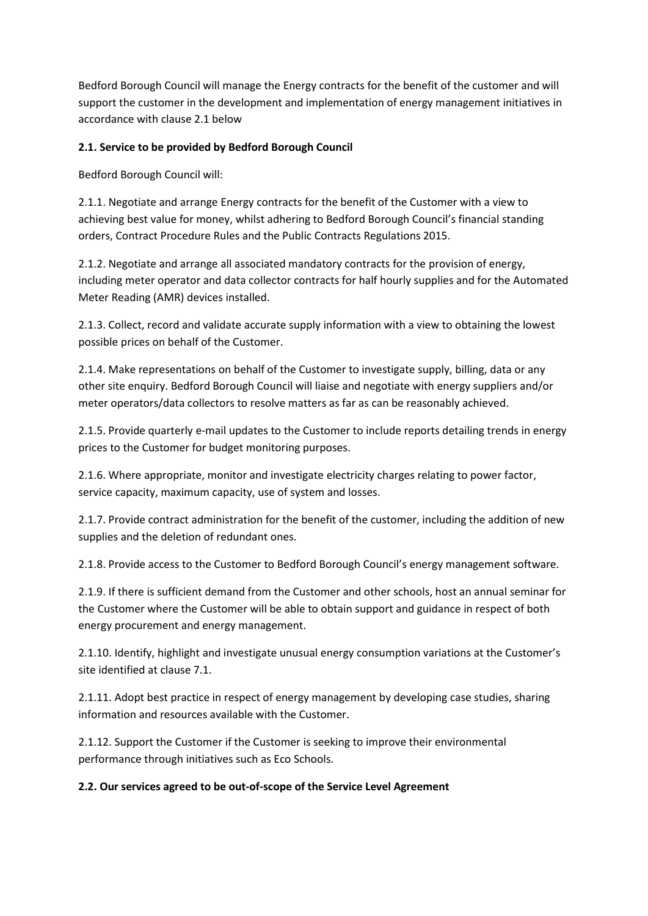Bedford Borough Council will manage the Energy contracts for the benefit of the customer and will support the customer in the development and implementation of energy management initiatives in accordance with clause 2.1 below

## **2.1. Service to be provided by Bedford Borough Council**

Bedford Borough Council will:

2.1.1. Negotiate and arrange Energy contracts for the benefit of the Customer with a view to achieving best value for money, whilst adhering to Bedford Borough Council's financial standing orders, Contract Procedure Rules and the Public Contracts Regulations 2015.

2.1.2. Negotiate and arrange all associated mandatory contracts for the provision of energy, including meter operator and data collector contracts for half hourly supplies and for the Automated Meter Reading (AMR) devices installed.

2.1.3. Collect, record and validate accurate supply information with a view to obtaining the lowest possible prices on behalf of the Customer.

2.1.4. Make representations on behalf of the Customer to investigate supply, billing, data or any other site enquiry. Bedford Borough Council will liaise and negotiate with energy suppliers and/or meter operators/data collectors to resolve matters as far as can be reasonably achieved.

2.1.5. Provide quarterly e-mail updates to the Customer to include reports detailing trends in energy prices to the Customer for budget monitoring purposes.

2.1.6. Where appropriate, monitor and investigate electricity charges relating to power factor, service capacity, maximum capacity, use of system and losses.

2.1.7. Provide contract administration for the benefit of the customer, including the addition of new supplies and the deletion of redundant ones.

2.1.8. Provide access to the Customer to Bedford Borough Council's energy management software.

2.1.9. If there is sufficient demand from the Customer and other schools, host an annual seminar for the Customer where the Customer will be able to obtain support and guidance in respect of both energy procurement and energy management.

2.1.10. Identify, highlight and investigate unusual energy consumption variations at the Customer's site identified at clause 7.1.

2.1.11. Adopt best practice in respect of energy management by developing case studies, sharing information and resources available with the Customer.

2.1.12. Support the Customer if the Customer is seeking to improve their environmental performance through initiatives such as Eco Schools.

### **2.2. Our services agreed to be out-of-scope of the Service Level Agreement**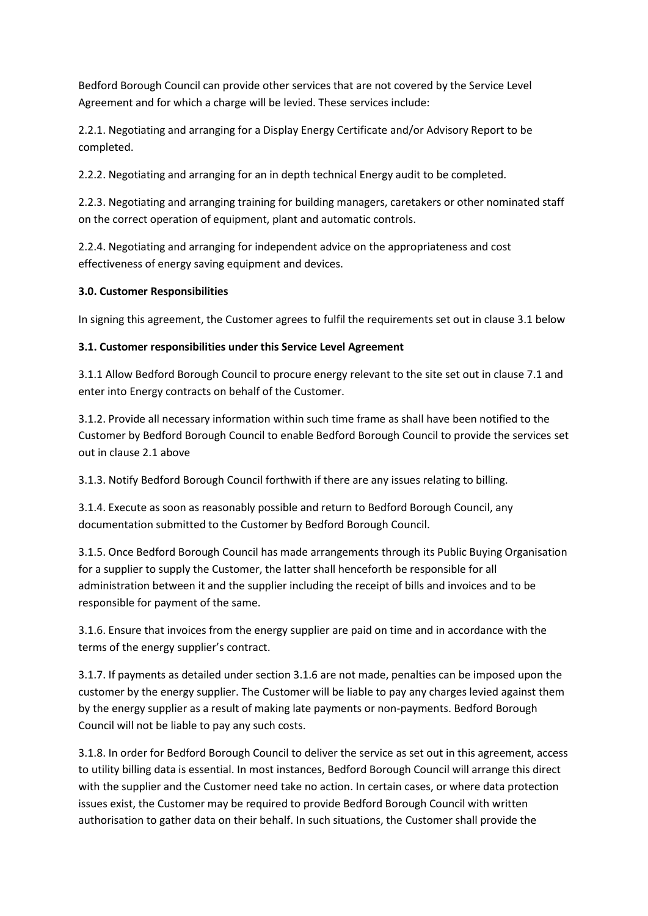Bedford Borough Council can provide other services that are not covered by the Service Level Agreement and for which a charge will be levied. These services include:

2.2.1. Negotiating and arranging for a Display Energy Certificate and/or Advisory Report to be completed.

2.2.2. Negotiating and arranging for an in depth technical Energy audit to be completed.

2.2.3. Negotiating and arranging training for building managers, caretakers or other nominated staff on the correct operation of equipment, plant and automatic controls.

2.2.4. Negotiating and arranging for independent advice on the appropriateness and cost effectiveness of energy saving equipment and devices.

### **3.0. Customer Responsibilities**

In signing this agreement, the Customer agrees to fulfil the requirements set out in clause 3.1 below

### **3.1. Customer responsibilities under this Service Level Agreement**

3.1.1 Allow Bedford Borough Council to procure energy relevant to the site set out in clause 7.1 and enter into Energy contracts on behalf of the Customer.

3.1.2. Provide all necessary information within such time frame as shall have been notified to the Customer by Bedford Borough Council to enable Bedford Borough Council to provide the services set out in clause 2.1 above

3.1.3. Notify Bedford Borough Council forthwith if there are any issues relating to billing.

3.1.4. Execute as soon as reasonably possible and return to Bedford Borough Council, any documentation submitted to the Customer by Bedford Borough Council.

3.1.5. Once Bedford Borough Council has made arrangements through its Public Buying Organisation for a supplier to supply the Customer, the latter shall henceforth be responsible for all administration between it and the supplier including the receipt of bills and invoices and to be responsible for payment of the same.

3.1.6. Ensure that invoices from the energy supplier are paid on time and in accordance with the terms of the energy supplier's contract.

3.1.7. If payments as detailed under section 3.1.6 are not made, penalties can be imposed upon the customer by the energy supplier. The Customer will be liable to pay any charges levied against them by the energy supplier as a result of making late payments or non-payments. Bedford Borough Council will not be liable to pay any such costs.

3.1.8. In order for Bedford Borough Council to deliver the service as set out in this agreement, access to utility billing data is essential. In most instances, Bedford Borough Council will arrange this direct with the supplier and the Customer need take no action. In certain cases, or where data protection issues exist, the Customer may be required to provide Bedford Borough Council with written authorisation to gather data on their behalf. In such situations, the Customer shall provide the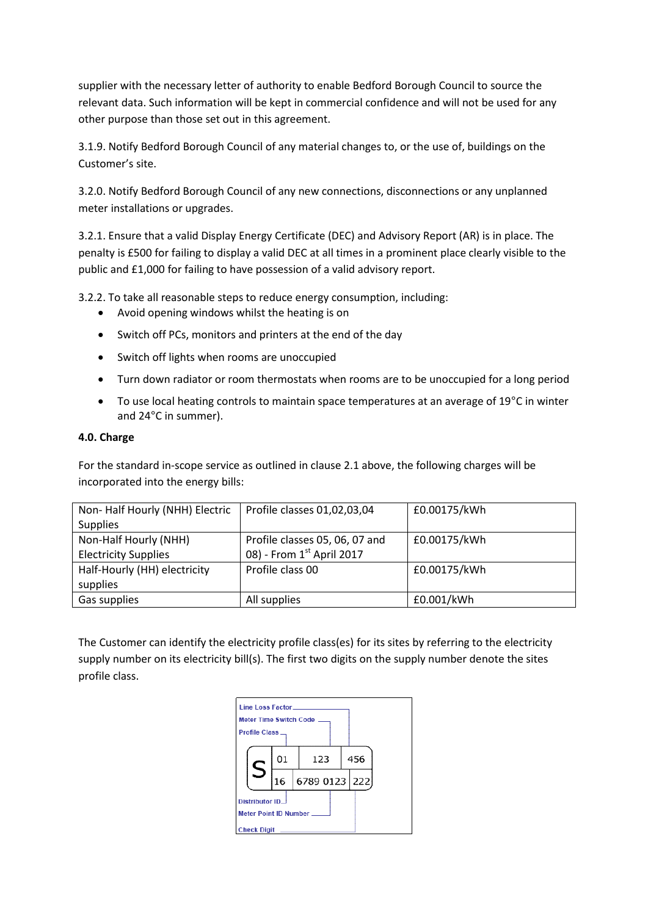supplier with the necessary letter of authority to enable Bedford Borough Council to source the relevant data. Such information will be kept in commercial confidence and will not be used for any other purpose than those set out in this agreement.

3.1.9. Notify Bedford Borough Council of any material changes to, or the use of, buildings on the Customer's site.

3.2.0. Notify Bedford Borough Council of any new connections, disconnections or any unplanned meter installations or upgrades.

3.2.1. Ensure that a valid Display Energy Certificate (DEC) and Advisory Report (AR) is in place. The penalty is £500 for failing to display a valid DEC at all times in a prominent place clearly visible to the public and £1,000 for failing to have possession of a valid advisory report.

3.2.2. To take all reasonable steps to reduce energy consumption, including:

- Avoid opening windows whilst the heating is on
- Switch off PCs, monitors and printers at the end of the day
- Switch off lights when rooms are unoccupied
- Turn down radiator or room thermostats when rooms are to be unoccupied for a long period
- To use local heating controls to maintain space temperatures at an average of 19°C in winter and 24°C in summer).

#### **4.0. Charge**

For the standard in-scope service as outlined in clause 2.1 above, the following charges will be incorporated into the energy bills:

| Non-Half Hourly (NHH) Electric | Profile classes 01,02,03,04    | £0.00175/kWh |
|--------------------------------|--------------------------------|--------------|
| <b>Supplies</b>                |                                |              |
| Non-Half Hourly (NHH)          | Profile classes 05, 06, 07 and | £0.00175/kWh |
| <b>Electricity Supplies</b>    | 08) - From 1st April 2017      |              |
| Half-Hourly (HH) electricity   | Profile class 00               | £0.00175/kWh |
| supplies                       |                                |              |
| Gas supplies                   | All supplies                   | £0.001/kWh   |

The Customer can identify the electricity profile class(es) for its sites by referring to the electricity supply number on its electricity bill(s). The first two digits on the supply number denote the sites profile class.

| Line Loss Factor<br><b>Profile Class_</b>       |    | Meter Time Switch Code ____ |  |     |  |
|-------------------------------------------------|----|-----------------------------|--|-----|--|
|                                                 | 01 | 123                         |  | 456 |  |
|                                                 | 16 | 6789 0123 222               |  |     |  |
| <b>Distributor ID_</b><br>Meter Point ID Number |    |                             |  |     |  |
| <b>Check Digit</b>                              |    |                             |  |     |  |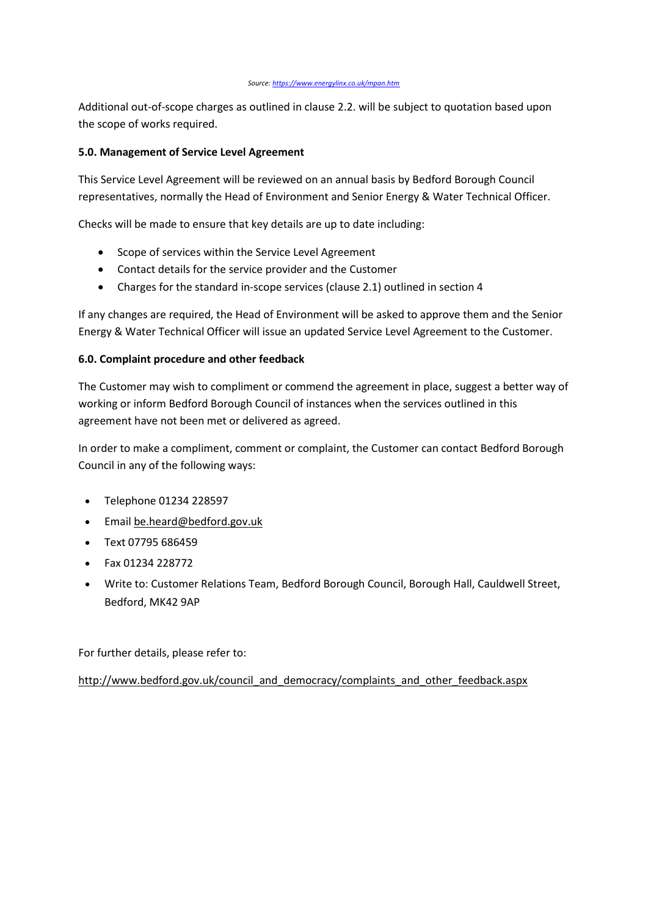Additional out-of-scope charges as outlined in clause 2.2. will be subject to quotation based upon the scope of works required.

#### **5.0. Management of Service Level Agreement**

This Service Level Agreement will be reviewed on an annual basis by Bedford Borough Council representatives, normally the Head of Environment and Senior Energy & Water Technical Officer.

Checks will be made to ensure that key details are up to date including:

- Scope of services within the Service Level Agreement
- Contact details for the service provider and the Customer
- Charges for the standard in-scope services (clause 2.1) outlined in section 4

If any changes are required, the Head of Environment will be asked to approve them and the Senior Energy & Water Technical Officer will issue an updated Service Level Agreement to the Customer.

#### **6.0. Complaint procedure and other feedback**

The Customer may wish to compliment or commend the agreement in place, suggest a better way of working or inform Bedford Borough Council of instances when the services outlined in this agreement have not been met or delivered as agreed.

In order to make a compliment, comment or complaint, the Customer can contact Bedford Borough Council in any of the following ways:

- Telephone 01234 228597
- Email [be.heard@bedford.gov.uk](mailto:be.heard@bedford.gov.uk)
- Text 07795 686459
- Fax 01234 228772
- Write to: Customer Relations Team, Bedford Borough Council, Borough Hall, Cauldwell Street, Bedford, MK42 9AP

For further details, please refer to:

[http://www.bedford.gov.uk/council\\_and\\_democracy/complaints\\_and\\_other\\_feedback.aspx](http://www.bedford.gov.uk/council_and_democracy/complaints_and_other_feedback.aspx)